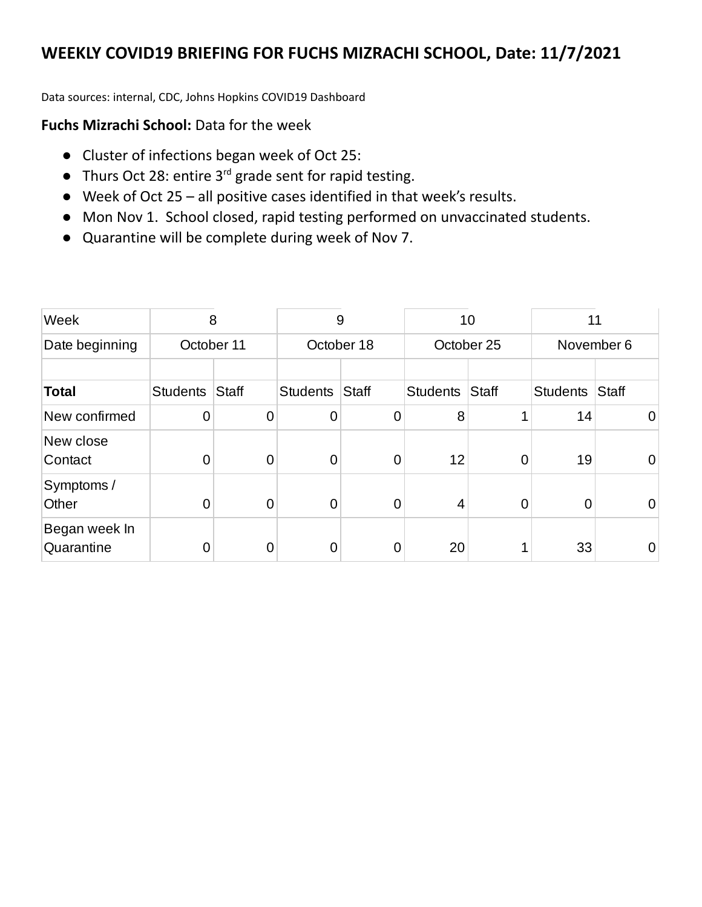Data sources: internal, CDC, Johns Hopkins COVID19 Dashboard

## **Fuchs Mizrachi School:** Data for the week

- Cluster of infections began week of Oct 25:
- Thurs Oct 28: entire 3<sup>rd</sup> grade sent for rapid testing.
- **●** Week of Oct 25 all positive cases identified in that week's results.
- **●** Mon Nov 1. School closed, rapid testing performed on unvaccinated students.
- **●** Quarantine will be complete during week of Nov 7.

| Week                        | 8               |                | 9               |                | 10              |                | 11              |                |
|-----------------------------|-----------------|----------------|-----------------|----------------|-----------------|----------------|-----------------|----------------|
| Date beginning              |                 | October 11     | October 18      |                | October 25      |                | November 6      |                |
| <b>Total</b>                | <b>Students</b> | <b>Staff</b>   | <b>Students</b> | <b>Staff</b>   | <b>Students</b> | <b>Staff</b>   | <b>Students</b> | <b>Staff</b>   |
| New confirmed               | 0               | $\overline{0}$ | $\overline{0}$  | $\overline{0}$ | 8               | 1              | 14              | $\overline{0}$ |
| New close<br>Contact        | 0               | 0              | $\overline{0}$  | 0              | 12              | 0              | 19              | 0              |
| Symptoms /<br>Other         | 0               | 0              | $\overline{0}$  | 0              | 4               | $\overline{0}$ | 0               | 0              |
| Began week In<br>Quarantine | 0               | 0              | 0               | 0              | 20              | 1              | 33              | 0              |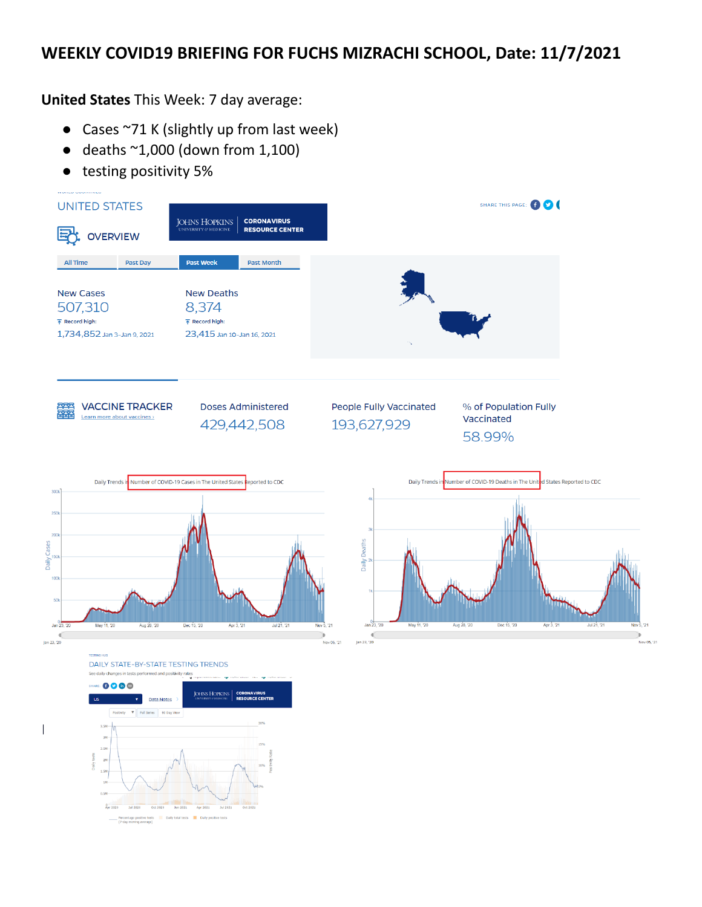**United States** This Week: 7 day average:

- Cases ~71 K (slightly up from last week)
- deaths  $^{\sim}1,000$  (down from 1,100)
- testing positivity 5%

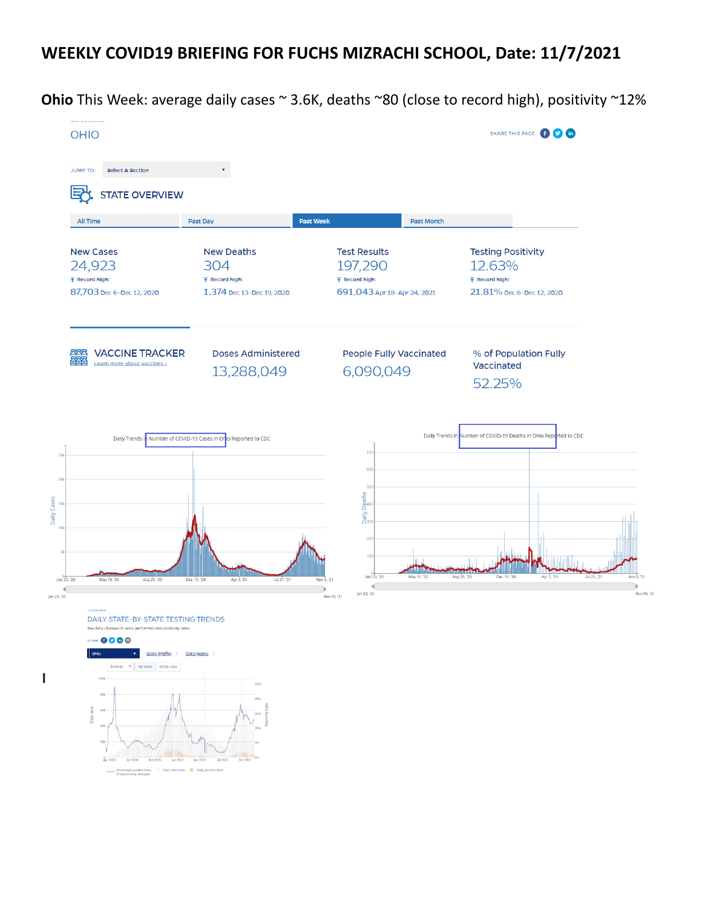**Ohio** This Week: average daily cases ~ 3.6K, deaths ~80 (close to record high), positivity ~12%